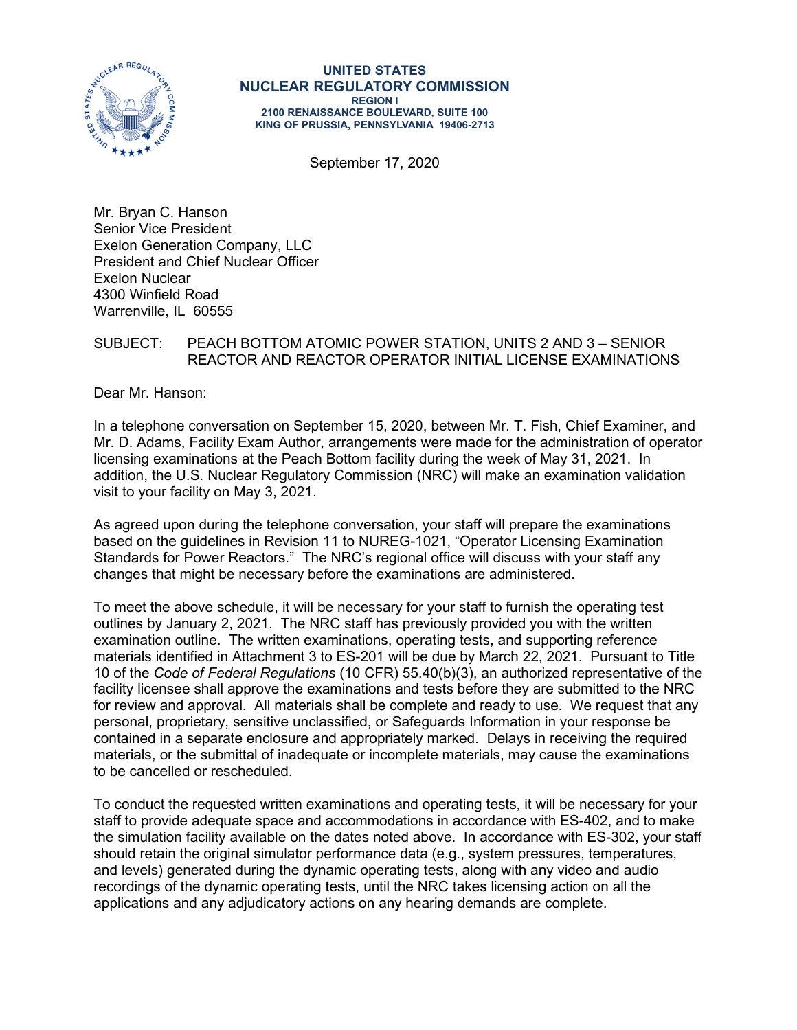

#### **UNITED STATES NUCLEAR REGULATORY COMMISSION REGION I 2100 RENAISSANCE BOULEVARD, SUITE 100 KING OF PRUSSIA, PENNSYLVANIA 19406-2713**

September 17, 2020

Mr. Bryan C. Hanson Senior Vice President Exelon Generation Company, LLC President and Chief Nuclear Officer Exelon Nuclear 4300 Winfield Road Warrenville, IL 60555

### SUBJECT: PEACH BOTTOM ATOMIC POWER STATION, UNITS 2 AND 3 – SENIOR REACTOR AND REACTOR OPERATOR INITIAL LICENSE EXAMINATIONS

Dear Mr. Hanson:

In a telephone conversation on September 15, 2020, between Mr. T. Fish, Chief Examiner, and Mr. D. Adams, Facility Exam Author, arrangements were made for the administration of operator licensing examinations at the Peach Bottom facility during the week of May 31, 2021. In addition, the U.S. Nuclear Regulatory Commission (NRC) will make an examination validation visit to your facility on May 3, 2021.

As agreed upon during the telephone conversation, your staff will prepare the examinations based on the guidelines in Revision 11 to NUREG-1021, "Operator Licensing Examination Standards for Power Reactors." The NRC's regional office will discuss with your staff any changes that might be necessary before the examinations are administered.

To meet the above schedule, it will be necessary for your staff to furnish the operating test outlines by January 2, 2021. The NRC staff has previously provided you with the written examination outline. The written examinations, operating tests, and supporting reference materials identified in Attachment 3 to ES-201 will be due by March 22, 2021. Pursuant to Title 10 of the *Code of Federal Regulations* (10 CFR) 55.40(b)(3), an authorized representative of the facility licensee shall approve the examinations and tests before they are submitted to the NRC for review and approval. All materials shall be complete and ready to use. We request that any personal, proprietary, sensitive unclassified, or Safeguards Information in your response be contained in a separate enclosure and appropriately marked. Delays in receiving the required materials, or the submittal of inadequate or incomplete materials, may cause the examinations to be cancelled or rescheduled.

To conduct the requested written examinations and operating tests, it will be necessary for your staff to provide adequate space and accommodations in accordance with ES-402, and to make the simulation facility available on the dates noted above. In accordance with ES-302, your staff should retain the original simulator performance data (e.g., system pressures, temperatures, and levels) generated during the dynamic operating tests, along with any video and audio recordings of the dynamic operating tests, until the NRC takes licensing action on all the applications and any adjudicatory actions on any hearing demands are complete.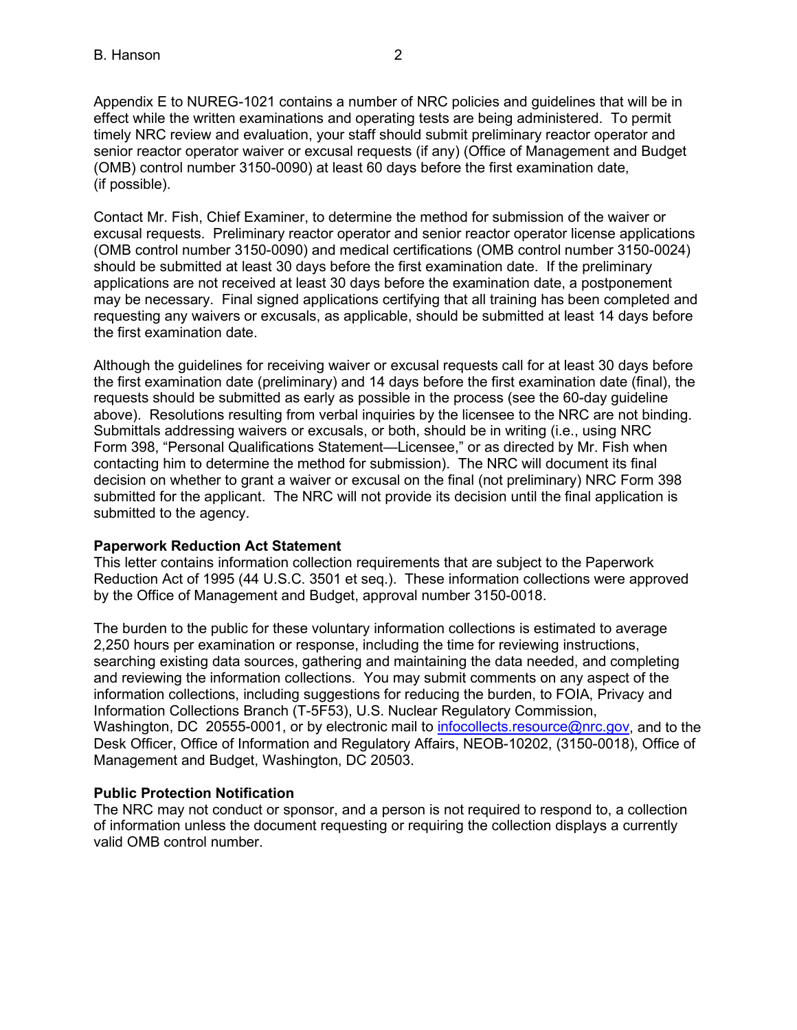Appendix E to NUREG-1021 contains a number of NRC policies and guidelines that will be in effect while the written examinations and operating tests are being administered. To permit timely NRC review and evaluation, your staff should submit preliminary reactor operator and senior reactor operator waiver or excusal requests (if any) (Office of Management and Budget (OMB) control number 3150-0090) at least 60 days before the first examination date, (if possible).

Contact Mr. Fish, Chief Examiner, to determine the method for submission of the waiver or excusal requests. Preliminary reactor operator and senior reactor operator license applications (OMB control number 3150-0090) and medical certifications (OMB control number 3150-0024) should be submitted at least 30 days before the first examination date. If the preliminary applications are not received at least 30 days before the examination date, a postponement may be necessary. Final signed applications certifying that all training has been completed and requesting any waivers or excusals, as applicable, should be submitted at least 14 days before the first examination date.

Although the guidelines for receiving waiver or excusal requests call for at least 30 days before the first examination date (preliminary) and 14 days before the first examination date (final), the requests should be submitted as early as possible in the process (see the 60-day guideline above). Resolutions resulting from verbal inquiries by the licensee to the NRC are not binding. Submittals addressing waivers or excusals, or both, should be in writing (i.e., using NRC Form 398, "Personal Qualifications Statement—Licensee," or as directed by Mr. Fish when contacting him to determine the method for submission). The NRC will document its final decision on whether to grant a waiver or excusal on the final (not preliminary) NRC Form 398 submitted for the applicant. The NRC will not provide its decision until the final application is submitted to the agency.

### **Paperwork Reduction Act Statement**

This letter contains information collection requirements that are subject to the Paperwork Reduction Act of 1995 (44 U.S.C. 3501 et seq.). These information collections were approved by the Office of Management and Budget, approval number 3150-0018.

The burden to the public for these voluntary information collections is estimated to average 2,250 hours per examination or response, including the time for reviewing instructions, searching existing data sources, gathering and maintaining the data needed, and completing and reviewing the information collections. You may submit comments on any aspect of the information collections, including suggestions for reducing the burden, to FOIA, Privacy and Information Collections Branch (T-5F53), U.S. Nuclear Regulatory Commission, Washington, DC 20555-0001, or by electronic mail to [infocollects.resource@nrc.gov,](mailto:INFOCOLLECTS.RESOURCE@NRC.GOV) and to the Desk Officer, Office of Information and Regulatory Affairs, NEOB-10202, (3150-0018), Office of Management and Budget, Washington, DC 20503.

#### **Public Protection Notification**

The NRC may not conduct or sponsor, and a person is not required to respond to, a collection of information unless the document requesting or requiring the collection displays a currently valid OMB control number.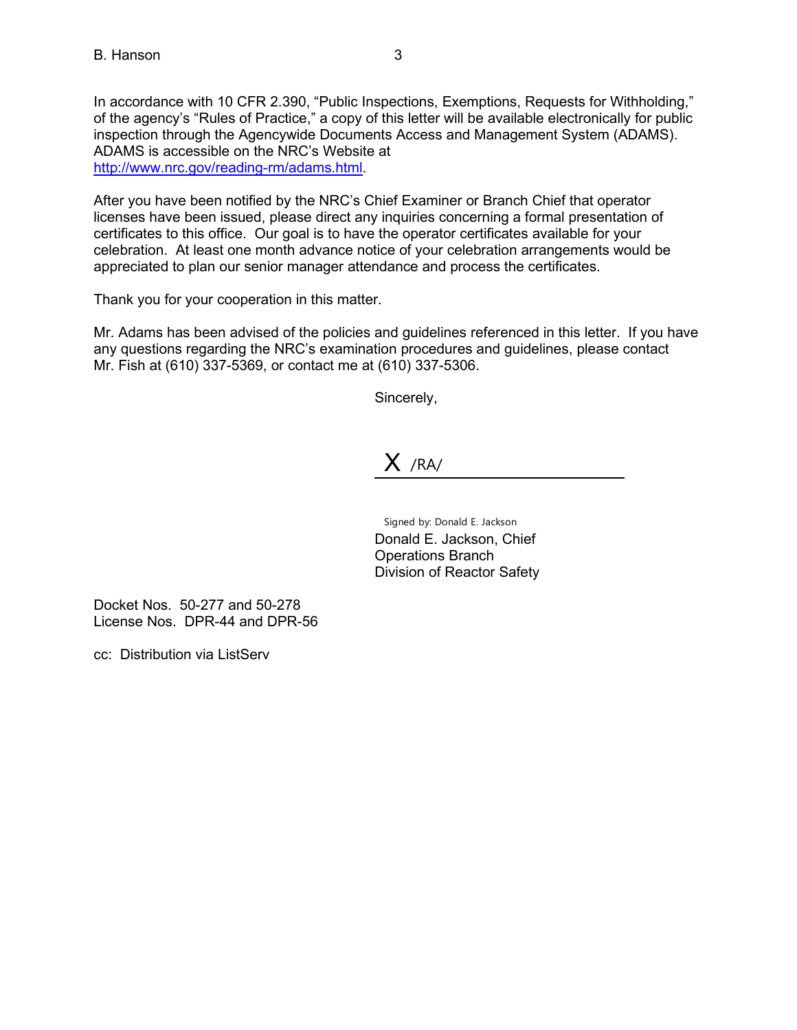In accordance with 10 CFR 2.390, "Public Inspections, Exemptions, Requests for Withholding," of the agency's "Rules of Practice," a copy of this letter will be available electronically for public inspection through the Agencywide Documents Access and Management System (ADAMS). ADAMS is accessible on the NRC's Website at [http://www.nrc.gov/reading-rm/adams.html.](http://www.nrc.gov/reading-rm/adams.html)

After you have been notified by the NRC's Chief Examiner or Branch Chief that operator licenses have been issued, please direct any inquiries concerning a formal presentation of certificates to this office. Our goal is to have the operator certificates available for your celebration. At least one month advance notice of your celebration arrangements would be appreciated to plan our senior manager attendance and process the certificates.

Thank you for your cooperation in this matter.

Mr. Adams has been advised of the policies and guidelines referenced in this letter. If you have any questions regarding the NRC's examination procedures and guidelines, please contact Mr. Fish at (610) 337-5369, or contact me at (610) 337-5306.

Sincerely,

## $X$  /RA/

Signed by: Donald E. Jackson Donald E. Jackson, Chief Operations Branch Division of Reactor Safety

Docket Nos. 50-277 and 50-278 License Nos. DPR-44 and DPR-56

cc: Distribution via ListServ